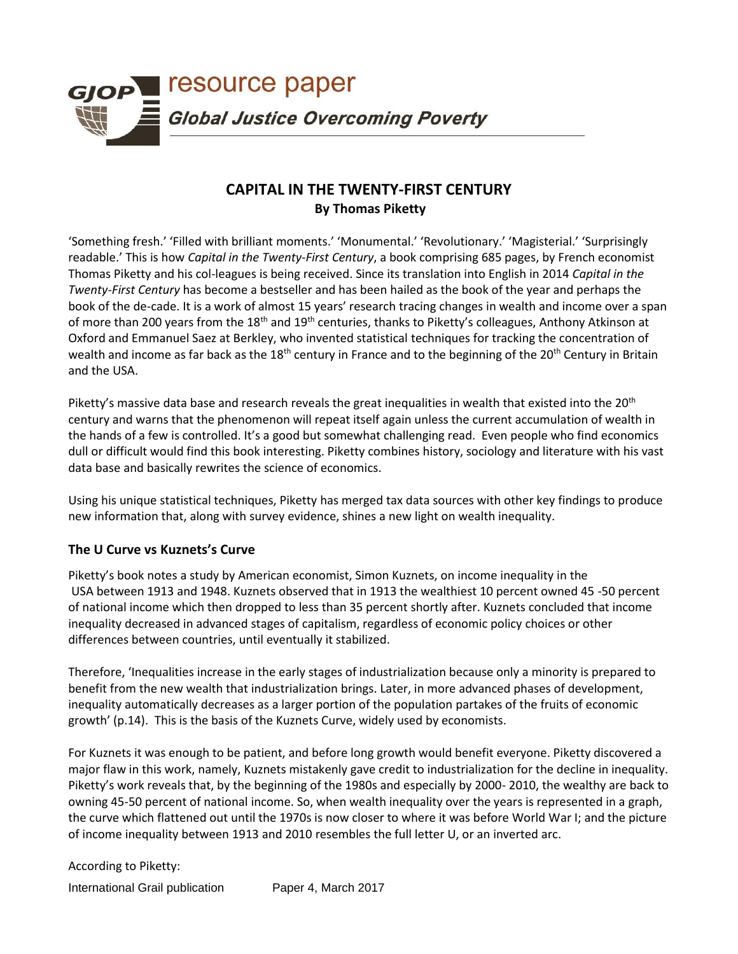

# **CAPITAL IN THE TWENTY-FIRST CENTURY By Thomas Piketty**

'Something fresh.' 'Filled with brilliant moments.' 'Monumental.' 'Revolutionary.' 'Magisterial.' 'Surprisingly readable.' This is how *Capital in the Twenty-First Century*, a book comprising 685 pages, by French economist Thomas Piketty and his col-leagues is being received. Since its translation into English in 2014 *Capital in the Twenty-First Century* has become a bestseller and has been hailed as the book of the year and perhaps the book of the de-cade. It is a work of almost 15 years' research tracing changes in wealth and income over a span of more than 200 years from the 18<sup>th</sup> and 19<sup>th</sup> centuries, thanks to Piketty's colleagues, Anthony Atkinson at Oxford and Emmanuel Saez at Berkley, who invented statistical techniques for tracking the concentration of wealth and income as far back as the 18<sup>th</sup> century in France and to the beginning of the 20<sup>th</sup> Century in Britain and the USA.

Piketty's massive data base and research reveals the great inequalities in wealth that existed into the 20<sup>th</sup> century and warns that the phenomenon will repeat itself again unless the current accumulation of wealth in the hands of a few is controlled. It's a good but somewhat challenging read. Even people who find economics dull or difficult would find this book interesting. Piketty combines history, sociology and literature with his vast data base and basically rewrites the science of economics.

Using his unique statistical techniques, Piketty has merged tax data sources with other key findings to produce new information that, along with survey evidence, shines a new light on wealth inequality.

### **The U Curve vs Kuznets's Curve**

Piketty's book notes a study by American economist, Simon Kuznets, on income inequality in the USA between 1913 and 1948. Kuznets observed that in 1913 the wealthiest 10 percent owned 45 -50 percent of national income which then dropped to less than 35 percent shortly after. Kuznets concluded that income inequality decreased in advanced stages of capitalism, regardless of economic policy choices or other differences between countries, until eventually it stabilized.

Therefore, 'Inequalities increase in the early stages of industrialization because only a minority is prepared to benefit from the new wealth that industrialization brings. Later, in more advanced phases of development, inequality automatically decreases as a larger portion of the population partakes of the fruits of economic growth' (p.14). This is the basis of the Kuznets Curve, widely used by economists.

For Kuznets it was enough to be patient, and before long growth would benefit everyone. Piketty discovered a major flaw in this work, namely, Kuznets mistakenly gave credit to industrialization for the decline in inequality. Piketty's work reveals that, by the beginning of the 1980s and especially by 2000- 2010, the wealthy are back to owning 45-50 percent of national income. So, when wealth inequality over the years is represented in a graph, the curve which flattened out until the 1970s is now closer to where it was before World War I; and the picture of income inequality between 1913 and 2010 resembles the full letter U, or an inverted arc.

International Grail publication Paper 4, March 2017 According to Piketty: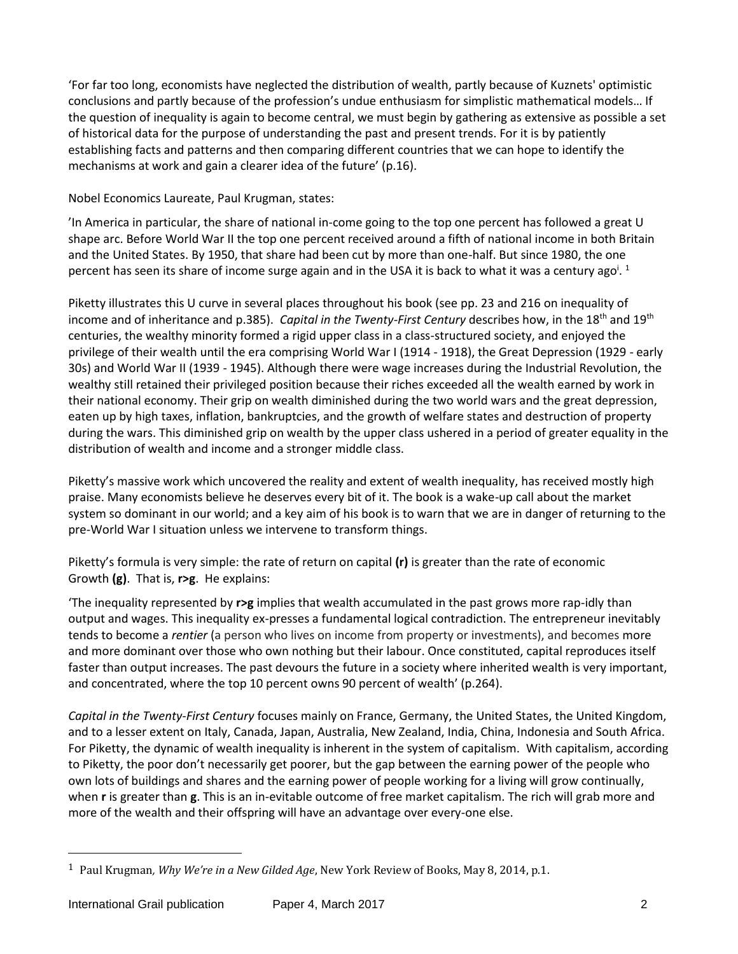'For far too long, economists have neglected the distribution of wealth, partly because of Kuznets' optimistic conclusions and partly because of the profession's undue enthusiasm for simplistic mathematical models… If the question of inequality is again to become central, we must begin by gathering as extensive as possible a set of historical data for the purpose of understanding the past and present trends. For it is by patiently establishing facts and patterns and then comparing different countries that we can hope to identify the mechanisms at work and gain a clearer idea of the future' (p.16).

Nobel Economics Laureate, Paul Krugman, states:

'In America in particular, the share of national in-come going to the top one percent has followed a great U shape arc. Before World War II the top one percent received around a fifth of national income in both Britain and the United States. By 1950, that share had been cut by more than one-half. But since 1980, the one percent has seen its share of income surge again and in the USA it is back to what it was a century ago<sup>i</sup>. <sup>1</sup>

Piketty illustrates this U curve in several places throughout his book (see pp. 23 and 216 on inequality of income and of inheritance and p.385). *Capital in the Twenty-First Century* describes how, in the 18<sup>th</sup> and 19<sup>th</sup> centuries, the wealthy minority formed a rigid upper class in a class-structured society, and enjoyed the privilege of their wealth until the era comprising World War I (1914 - 1918), the Great Depression (1929 - early 30s) and World War II (1939 - 1945). Although there were wage increases during the Industrial Revolution, the wealthy still retained their privileged position because their riches exceeded all the wealth earned by work in their national economy. Their grip on wealth diminished during the two world wars and the great depression, eaten up by high taxes, inflation, bankruptcies, and the growth of welfare states and destruction of property during the wars. This diminished grip on wealth by the upper class ushered in a period of greater equality in the distribution of wealth and income and a stronger middle class.

Piketty's massive work which uncovered the reality and extent of wealth inequality, has received mostly high praise. Many economists believe he deserves every bit of it. The book is a wake-up call about the market system so dominant in our world; and a key aim of his book is to warn that we are in danger of returning to the pre-World War I situation unless we intervene to transform things.

Piketty's formula is very simple: the rate of return on capital **(r)** is greater than the rate of economic Growth **(g)**. That is, **r>g**. He explains:

'The inequality represented by **r>g** implies that wealth accumulated in the past grows more rap-idly than output and wages. This inequality ex-presses a fundamental logical contradiction. The entrepreneur inevitably tends to become a *rentier* (a person who lives on income from property or investments), and becomes more and more dominant over those who own nothing but their labour. Once constituted, capital reproduces itself faster than output increases. The past devours the future in a society where inherited wealth is very important, and concentrated, where the top 10 percent owns 90 percent of wealth' (p.264).

*Capital in the Twenty-First Century* focuses mainly on France, Germany, the United States, the United Kingdom, and to a lesser extent on Italy, Canada, Japan, Australia, New Zealand, India, China, Indonesia and South Africa. For Piketty, the dynamic of wealth inequality is inherent in the system of capitalism. With capitalism, according to Piketty, the poor don't necessarily get poorer, but the gap between the earning power of the people who own lots of buildings and shares and the earning power of people working for a living will grow continually, when **r** is greater than **g**. This is an in-evitable outcome of free market capitalism. The rich will grab more and more of the wealth and their offspring will have an advantage over every-one else.

 $\overline{a}$ 

<sup>1</sup> Paul Krugman*, Why We're in a New Gilded Age*, New York Review of Books, May 8, 2014, p.1.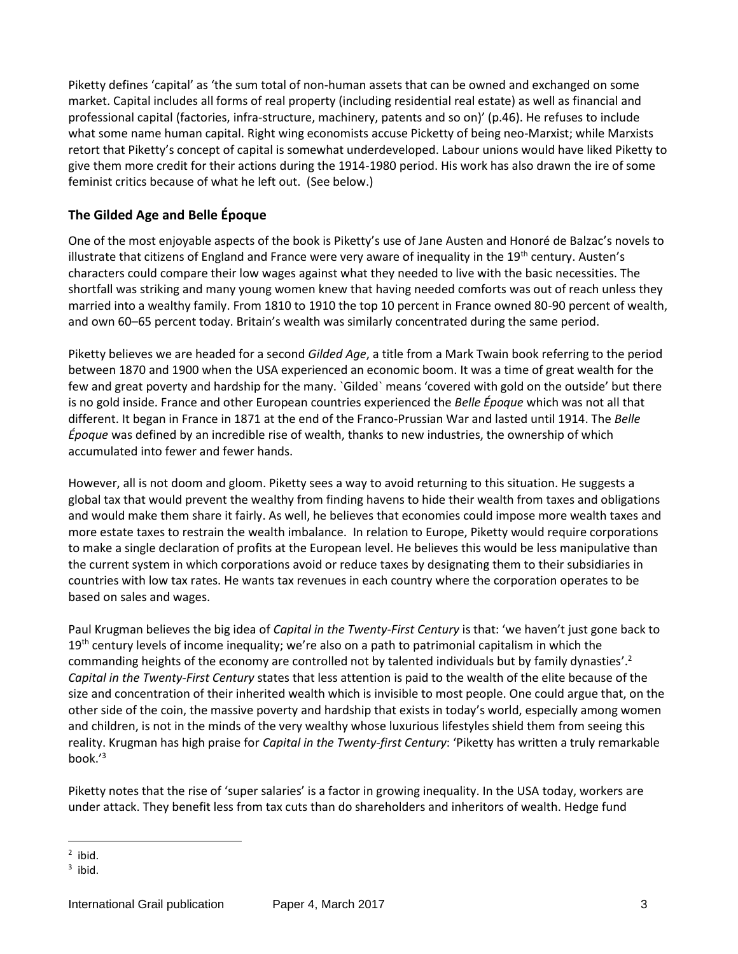Piketty defines 'capital' as 'the sum total of non-human assets that can be owned and exchanged on some market. Capital includes all forms of real property (including residential real estate) as well as financial and professional capital (factories, infra-structure, machinery, patents and so on)' (p.46). He refuses to include what some name human capital. Right wing economists accuse Picketty of being neo-Marxist; while Marxists retort that Piketty's concept of capital is somewhat underdeveloped. Labour unions would have liked Piketty to give them more credit for their actions during the 1914-1980 period. His work has also drawn the ire of some feminist critics because of what he left out. (See below.)

## **The Gilded Age and Belle Époque**

One of the most enjoyable aspects of the book is Piketty's use of Jane Austen and Honoré de Balzac's novels to illustrate that citizens of England and France were very aware of inequality in the 19<sup>th</sup> century. Austen's characters could compare their low wages against what they needed to live with the basic necessities. The shortfall was striking and many young women knew that having needed comforts was out of reach unless they married into a wealthy family. From 1810 to 1910 the top 10 percent in France owned 80-90 percent of wealth, and own 60–65 percent today. Britain's wealth was similarly concentrated during the same period.

Piketty believes we are headed for a second *Gilded Age*, a title from a Mark Twain book referring to the period between 1870 and 1900 when the USA experienced an economic boom. It was a time of great wealth for the few and great poverty and hardship for the many. `Gilded` means 'covered with gold on the outside' but there is no gold inside. France and other European countries experienced the *Belle Époque* which was not all that different. It began in France in 1871 at the end of the Franco-Prussian War and lasted until 1914. The *Belle Époque* was defined by an incredible rise of wealth, thanks to new industries, the ownership of which accumulated into fewer and fewer hands.

However, all is not doom and gloom. Piketty sees a way to avoid returning to this situation. He suggests a global tax that would prevent the wealthy from finding havens to hide their wealth from taxes and obligations and would make them share it fairly. As well, he believes that economies could impose more wealth taxes and more estate taxes to restrain the wealth imbalance. In relation to Europe, Piketty would require corporations to make a single declaration of profits at the European level. He believes this would be less manipulative than the current system in which corporations avoid or reduce taxes by designating them to their subsidiaries in countries with low tax rates. He wants tax revenues in each country where the corporation operates to be based on sales and wages.

Paul Krugman believes the big idea of *Capital in the Twenty-First Century* is that: 'we haven't just gone back to  $19<sup>th</sup>$  century levels of income inequality; we're also on a path to patrimonial capitalism in which the commanding heights of the economy are controlled not by talented individuals but by family dynasties'.<sup>2</sup> *Capital in the Twenty-First Century* states that less attention is paid to the wealth of the elite because of the size and concentration of their inherited wealth which is invisible to most people. One could argue that, on the other side of the coin, the massive poverty and hardship that exists in today's world, especially among women and children, is not in the minds of the very wealthy whose luxurious lifestyles shield them from seeing this reality. Krugman has high praise for *Capital in the Twenty-first Century*: 'Piketty has written a truly remarkable book $\frac{3}{3}$ 

Piketty notes that the rise of 'super salaries' is a factor in growing inequality. In the USA today, workers are under attack. They benefit less from tax cuts than do shareholders and inheritors of wealth. Hedge fund

 $\overline{a}$  $2$  ibid.

 $3$  ibid.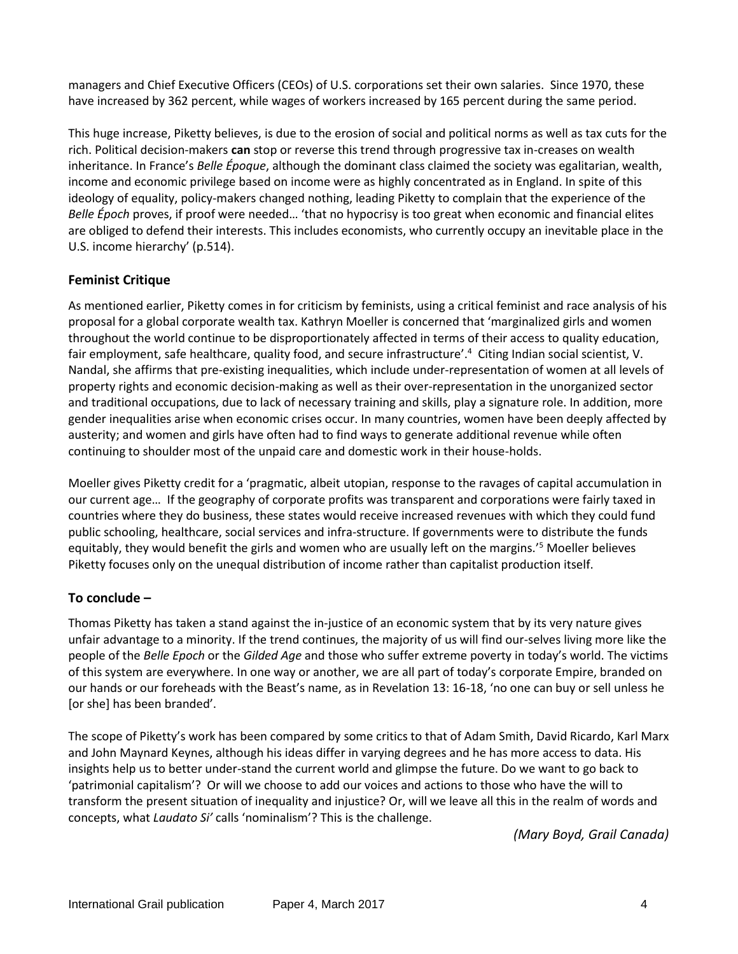managers and Chief Executive Officers (CEOs) of U.S. corporations set their own salaries. Since 1970, these have increased by 362 percent, while wages of workers increased by 165 percent during the same period.

This huge increase, Piketty believes, is due to the erosion of social and political norms as well as tax cuts for the rich. Political decision-makers **can** stop or reverse this trend through progressive tax in-creases on wealth inheritance. In France's *Belle Époque*, although the dominant class claimed the society was egalitarian, wealth, income and economic privilege based on income were as highly concentrated as in England. In spite of this ideology of equality, policy-makers changed nothing, leading Piketty to complain that the experience of the *Belle Époch* proves, if proof were needed… 'that no hypocrisy is too great when economic and financial elites are obliged to defend their interests. This includes economists, who currently occupy an inevitable place in the U.S. income hierarchy' (p.514).

## **Feminist Critique**

As mentioned earlier, Piketty comes in for criticism by feminists, using a critical feminist and race analysis of his proposal for a global corporate wealth tax. Kathryn Moeller is concerned that 'marginalized girls and women throughout the world continue to be disproportionately affected in terms of their access to quality education, fair employment, safe healthcare, quality food, and secure infrastructure'.<sup>4</sup> Citing Indian social scientist, V. Nandal, she affirms that pre-existing inequalities, which include under-representation of women at all levels of property rights and economic decision-making as well as their over-representation in the unorganized sector and traditional occupations, due to lack of necessary training and skills, play a signature role. In addition, more gender inequalities arise when economic crises occur. In many countries, women have been deeply affected by austerity; and women and girls have often had to find ways to generate additional revenue while often continuing to shoulder most of the unpaid care and domestic work in their house-holds.

Moeller gives Piketty credit for a 'pragmatic, albeit utopian, response to the ravages of capital accumulation in our current age… If the geography of corporate profits was transparent and corporations were fairly taxed in countries where they do business, these states would receive increased revenues with which they could fund public schooling, healthcare, social services and infra-structure. If governments were to distribute the funds equitably, they would benefit the girls and women who are usually left on the margins.<sup>'5</sup> Moeller believes Piketty focuses only on the unequal distribution of income rather than capitalist production itself.

### **To conclude –**

Thomas Piketty has taken a stand against the in-justice of an economic system that by its very nature gives unfair advantage to a minority. If the trend continues, the majority of us will find our-selves living more like the people of the *Belle Epoch* or the *Gilded Age* and those who suffer extreme poverty in today's world. The victims of this system are everywhere. In one way or another, we are all part of today's corporate Empire, branded on our hands or our foreheads with the Beast's name, as in Revelation 13: 16-18, 'no one can buy or sell unless he [or she] has been branded'.

The scope of Piketty's work has been compared by some critics to that of Adam Smith, David Ricardo, Karl Marx and John Maynard Keynes, although his ideas differ in varying degrees and he has more access to data. His insights help us to better under-stand the current world and glimpse the future. Do we want to go back to 'patrimonial capitalism'? Or will we choose to add our voices and actions to those who have the will to transform the present situation of inequality and injustice? Or, will we leave all this in the realm of words and concepts, what *Laudato Si'* calls 'nominalism'? This is the challenge.

*(Mary Boyd, Grail Canada)*